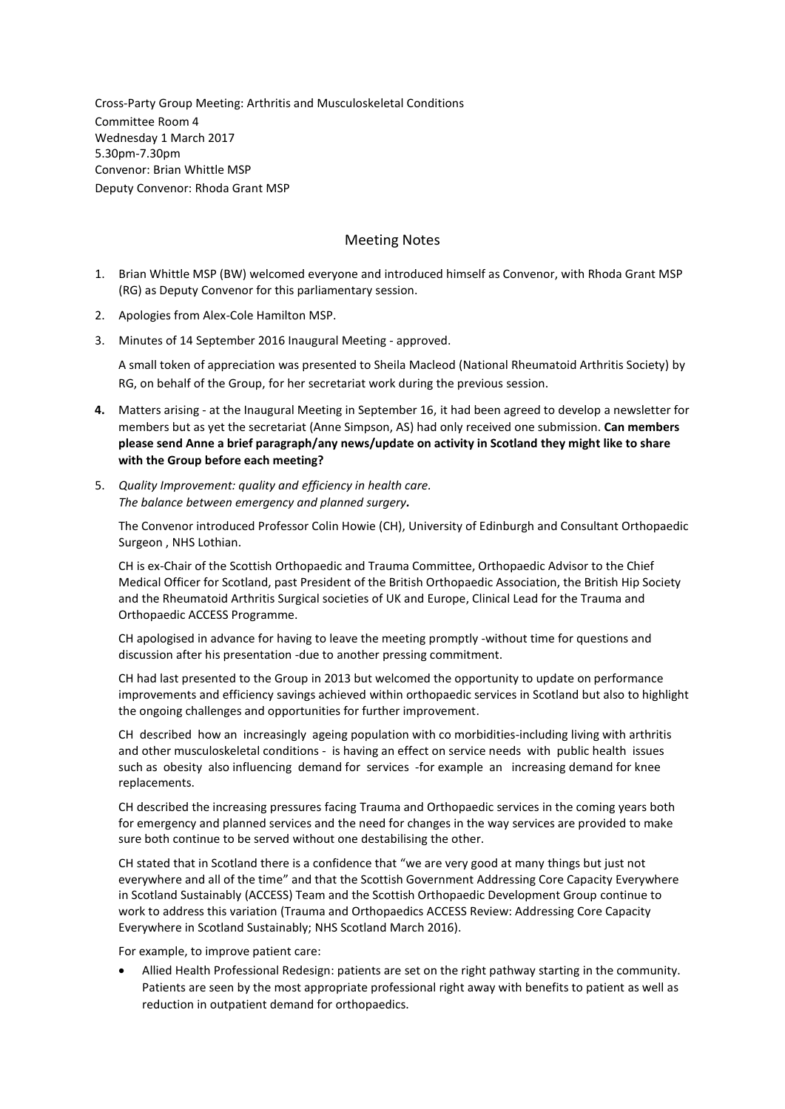Cross-Party Group Meeting: Arthritis and Musculoskeletal Conditions Committee Room 4 Wednesday 1 March 2017 5.30pm-7.30pm Convenor: Brian Whittle MSP Deputy Convenor: Rhoda Grant MSP

### Meeting Notes

- 1. Brian Whittle MSP (BW) welcomed everyone and introduced himself as Convenor, with Rhoda Grant MSP (RG) as Deputy Convenor for this parliamentary session.
- 2. Apologies from Alex-Cole Hamilton MSP.
- 3. Minutes of 14 September 2016 Inaugural Meeting approved.

A small token of appreciation was presented to Sheila Macleod (National Rheumatoid Arthritis Society) by RG, on behalf of the Group, for her secretariat work during the previous session.

- **4.** Matters arising at the Inaugural Meeting in September 16, it had been agreed to develop a newsletter for members but as yet the secretariat (Anne Simpson, AS) had only received one submission. **Can members please send Anne a brief paragraph/any news/update on activity in Scotland they might like to share with the Group before each meeting?**
- 5. *Quality Improvement: quality and efficiency in health care. The balance between emergency and planned surgery.*

The Convenor introduced Professor Colin Howie (CH), University of Edinburgh and Consultant Orthopaedic Surgeon , NHS Lothian.

CH is ex-Chair of the Scottish Orthopaedic and Trauma Committee, Orthopaedic Advisor to the Chief Medical Officer for Scotland, past President of the British Orthopaedic Association, the British Hip Society and the Rheumatoid Arthritis Surgical societies of UK and Europe, Clinical Lead for the Trauma and Orthopaedic ACCESS Programme.

CH apologised in advance for having to leave the meeting promptly -without time for questions and discussion after his presentation -due to another pressing commitment.

CH had last presented to the Group in 2013 but welcomed the opportunity to update on performance improvements and efficiency savings achieved within orthopaedic services in Scotland but also to highlight the ongoing challenges and opportunities for further improvement.

CH described how an increasingly ageing population with co morbidities-including living with arthritis and other musculoskeletal conditions - is having an effect on service needs with public health issues such as obesity also influencing demand for services -for example an increasing demand for knee replacements.

CH described the increasing pressures facing Trauma and Orthopaedic services in the coming years both for emergency and planned services and the need for changes in the way services are provided to make sure both continue to be served without one destabilising the other.

CH stated that in Scotland there is a confidence that "we are very good at many things but just not everywhere and all of the time" and that the Scottish Government Addressing Core Capacity Everywhere in Scotland Sustainably (ACCESS) Team and the Scottish Orthopaedic Development Group continue to work to address this variation (Trauma and Orthopaedics ACCESS Review: Addressing Core Capacity Everywhere in Scotland Sustainably; NHS Scotland March 2016).

For example, to improve patient care:

 Allied Health Professional Redesign: patients are set on the right pathway starting in the community. Patients are seen by the most appropriate professional right away with benefits to patient as well as reduction in outpatient demand for orthopaedics.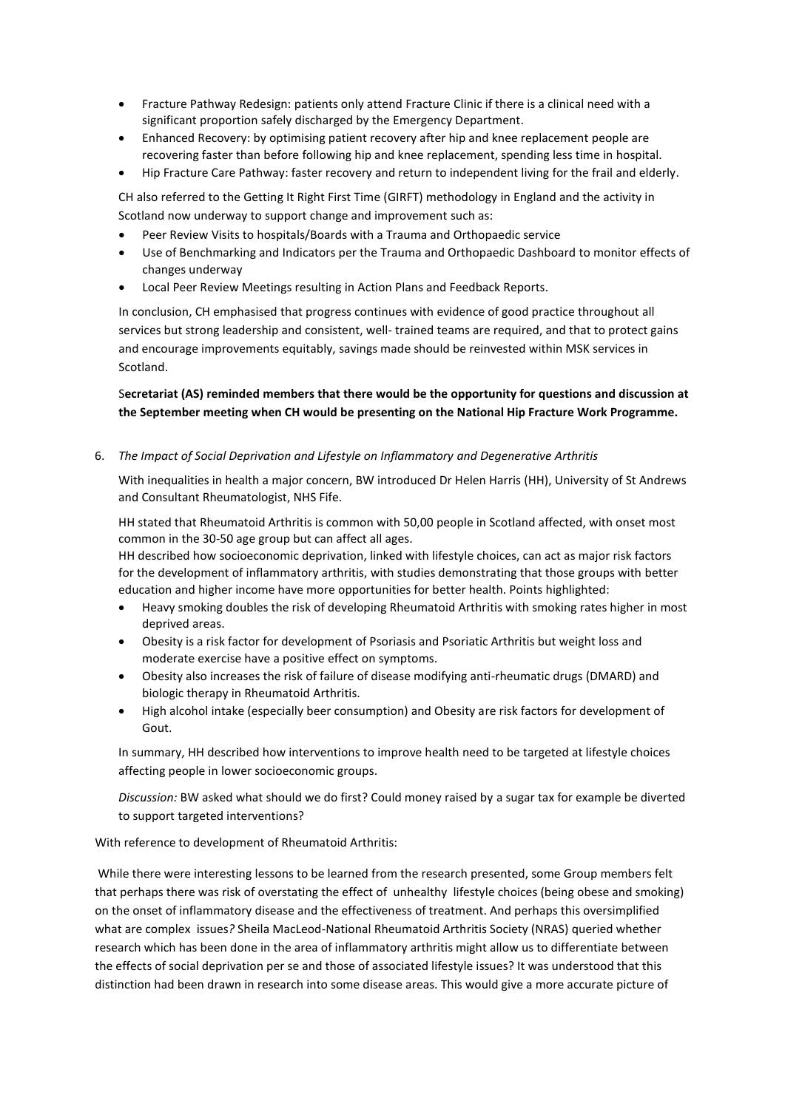- Fracture Pathway Redesign: patients only attend Fracture Clinic if there is a clinical need with a significant proportion safely discharged by the Emergency Department.
- Enhanced Recovery: by optimising patient recovery after hip and knee replacement people are recovering faster than before following hip and knee replacement, spending less time in hospital.
- Hip Fracture Care Pathway: faster recovery and return to independent living for the frail and elderly.

CH also referred to the Getting It Right First Time (GIRFT) methodology in England and the activity in Scotland now underway to support change and improvement such as:

- Peer Review Visits to hospitals/Boards with a Trauma and Orthopaedic service
- Use of Benchmarking and Indicators per the Trauma and Orthopaedic Dashboard to monitor effects of changes underway
- Local Peer Review Meetings resulting in Action Plans and Feedback Reports.

In conclusion, CH emphasised that progress continues with evidence of good practice throughout all services but strong leadership and consistent, well- trained teams are required, and that to protect gains and encourage improvements equitably, savings made should be reinvested within MSK services in Scotland.

# S**ecretariat (AS) reminded members that there would be the opportunity for questions and discussion at the September meeting when CH would be presenting on the National Hip Fracture Work Programme.**

6. *The Impact of Social Deprivation and Lifestyle on Inflammatory and Degenerative Arthritis* 

With inequalities in health a major concern, BW introduced Dr Helen Harris (HH), University of St Andrews and Consultant Rheumatologist, NHS Fife.

HH stated that Rheumatoid Arthritis is common with 50,00 people in Scotland affected, with onset most common in the 30-50 age group but can affect all ages.

HH described how socioeconomic deprivation, linked with lifestyle choices, can act as major risk factors for the development of inflammatory arthritis, with studies demonstrating that those groups with better education and higher income have more opportunities for better health. Points highlighted:

- Heavy smoking doubles the risk of developing Rheumatoid Arthritis with smoking rates higher in most deprived areas.
- Obesity is a risk factor for development of Psoriasis and Psoriatic Arthritis but weight loss and moderate exercise have a positive effect on symptoms.
- Obesity also increases the risk of failure of disease modifying anti-rheumatic drugs (DMARD) and biologic therapy in Rheumatoid Arthritis.
- High alcohol intake (especially beer consumption) and Obesity are risk factors for development of Gout.

In summary, HH described how interventions to improve health need to be targeted at lifestyle choices affecting people in lower socioeconomic groups.

*Discussion:* BW asked what should we do first? Could money raised by a sugar tax for example be diverted to support targeted interventions?

With reference to development of Rheumatoid Arthritis:

While there were interesting lessons to be learned from the research presented, some Group members felt that perhaps there was risk of overstating the effect of unhealthy lifestyle choices (being obese and smoking) on the onset of inflammatory disease and the effectiveness of treatment. And perhaps this oversimplified what are complex issues*?* Sheila MacLeod-National Rheumatoid Arthritis Society (NRAS) queried whether research which has been done in the area of inflammatory arthritis might allow us to differentiate between the effects of social deprivation per se and those of associated lifestyle issues? It was understood that this distinction had been drawn in research into some disease areas. This would give a more accurate picture of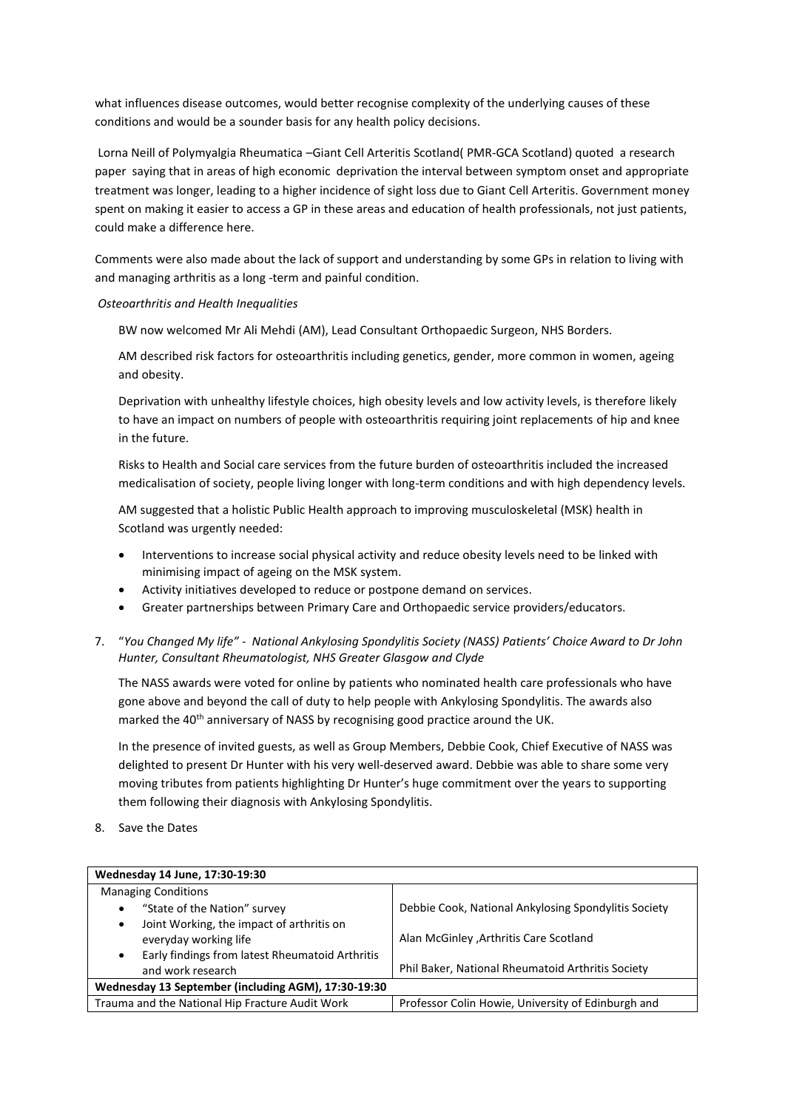what influences disease outcomes, would better recognise complexity of the underlying causes of these conditions and would be a sounder basis for any health policy decisions.

Lorna Neill of Polymyalgia Rheumatica –Giant Cell Arteritis Scotland( PMR-GCA Scotland) quoted a research paper saying that in areas of high economic deprivation the interval between symptom onset and appropriate treatment was longer, leading to a higher incidence of sight loss due to Giant Cell Arteritis. Government money spent on making it easier to access a GP in these areas and education of health professionals, not just patients, could make a difference here.

Comments were also made about the lack of support and understanding by some GPs in relation to living with and managing arthritis as a long -term and painful condition.

#### *Osteoarthritis and Health Inequalities*

BW now welcomed Mr Ali Mehdi (AM), Lead Consultant Orthopaedic Surgeon, NHS Borders.

AM described risk factors for osteoarthritis including genetics, gender, more common in women, ageing and obesity.

Deprivation with unhealthy lifestyle choices, high obesity levels and low activity levels, is therefore likely to have an impact on numbers of people with osteoarthritis requiring joint replacements of hip and knee in the future.

Risks to Health and Social care services from the future burden of osteoarthritis included the increased medicalisation of society, people living longer with long-term conditions and with high dependency levels.

AM suggested that a holistic Public Health approach to improving musculoskeletal (MSK) health in Scotland was urgently needed:

- Interventions to increase social physical activity and reduce obesity levels need to be linked with minimising impact of ageing on the MSK system.
- Activity initiatives developed to reduce or postpone demand on services.
- Greater partnerships between Primary Care and Orthopaedic service providers/educators.
- 7. "*You Changed My life" - National Ankylosing Spondylitis Society (NASS) Patients' Choice Award to Dr John Hunter, Consultant Rheumatologist, NHS Greater Glasgow and Clyde*

The NASS awards were voted for online by patients who nominated health care professionals who have gone above and beyond the call of duty to help people with Ankylosing Spondylitis. The awards also marked the 40<sup>th</sup> anniversary of NASS by recognising good practice around the UK.

In the presence of invited guests, as well as Group Members, Debbie Cook, Chief Executive of NASS was delighted to present Dr Hunter with his very well-deserved award. Debbie was able to share some very moving tributes from patients highlighting Dr Hunter's huge commitment over the years to supporting them following their diagnosis with Ankylosing Spondylitis.

8. Save the Dates

| Wednesday 14 June, 17:30-19:30                       |                                                      |  |
|------------------------------------------------------|------------------------------------------------------|--|
| <b>Managing Conditions</b>                           |                                                      |  |
| "State of the Nation" survey<br>٠                    | Debbie Cook, National Ankylosing Spondylitis Society |  |
| Joint Working, the impact of arthritis on<br>٠       |                                                      |  |
| everyday working life                                | Alan McGinley , Arthritis Care Scotland              |  |
| Early findings from latest Rheumatoid Arthritis<br>٠ |                                                      |  |
| and work research                                    | Phil Baker, National Rheumatoid Arthritis Society    |  |
| Wednesday 13 September (including AGM), 17:30-19:30  |                                                      |  |
| Trauma and the National Hip Fracture Audit Work      | Professor Colin Howie, University of Edinburgh and   |  |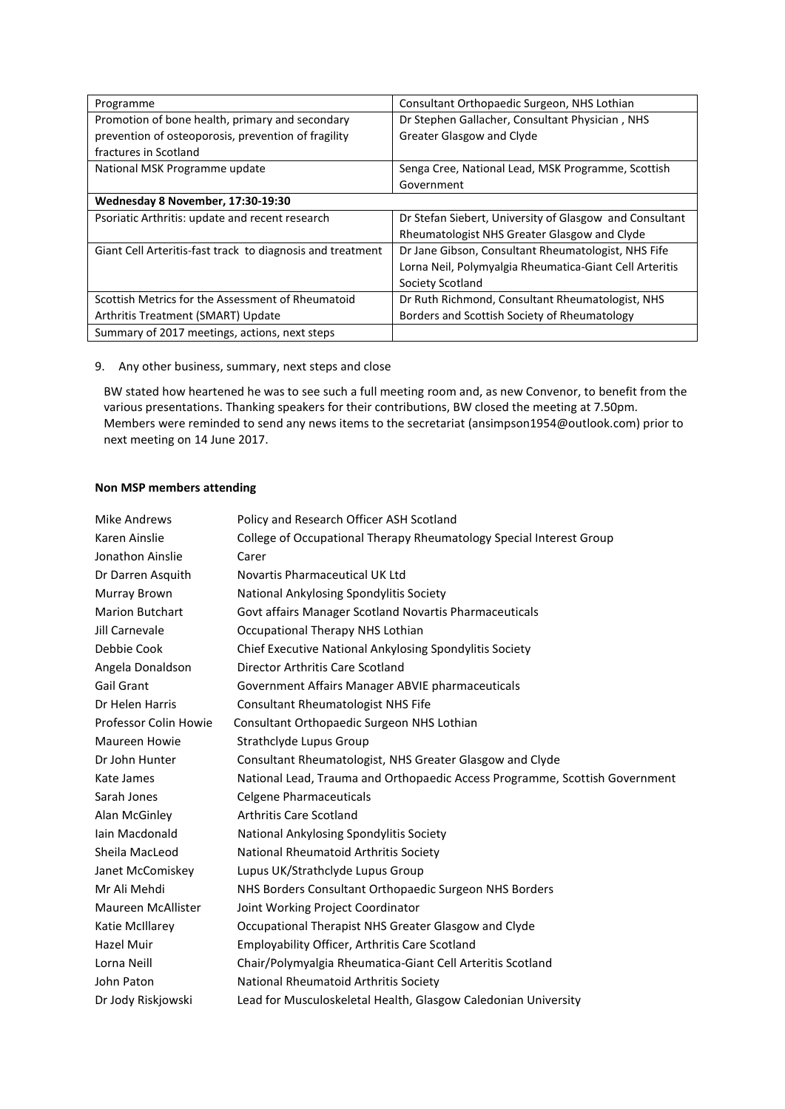| Programme                                                  | Consultant Orthopaedic Surgeon, NHS Lothian             |
|------------------------------------------------------------|---------------------------------------------------------|
| Promotion of bone health, primary and secondary            | Dr Stephen Gallacher, Consultant Physician, NHS         |
| prevention of osteoporosis, prevention of fragility        | <b>Greater Glasgow and Clyde</b>                        |
| fractures in Scotland                                      |                                                         |
| National MSK Programme update                              | Senga Cree, National Lead, MSK Programme, Scottish      |
|                                                            | Government                                              |
| Wednesday 8 November, 17:30-19:30                          |                                                         |
| Psoriatic Arthritis: update and recent research            | Dr Stefan Siebert, University of Glasgow and Consultant |
|                                                            | Rheumatologist NHS Greater Glasgow and Clyde            |
| Giant Cell Arteritis-fast track to diagnosis and treatment | Dr Jane Gibson, Consultant Rheumatologist, NHS Fife     |
|                                                            | Lorna Neil, Polymyalgia Rheumatica-Giant Cell Arteritis |
|                                                            | Society Scotland                                        |
| Scottish Metrics for the Assessment of Rheumatoid          | Dr Ruth Richmond, Consultant Rheumatologist, NHS        |
| Arthritis Treatment (SMART) Update                         | Borders and Scottish Society of Rheumatology            |
| Summary of 2017 meetings, actions, next steps              |                                                         |

9. Any other business, summary, next steps and close

BW stated how heartened he was to see such a full meeting room and, as new Convenor, to benefit from the various presentations. Thanking speakers for their contributions, BW closed the meeting at 7.50pm. Members were reminded to send any news items to the secretariat (ansimpson1954@outlook.com) prior to next meeting on 14 June 2017.

#### **Non MSP members attending**

| Mike Andrews              | Policy and Research Officer ASH Scotland                                    |
|---------------------------|-----------------------------------------------------------------------------|
| Karen Ainslie             | College of Occupational Therapy Rheumatology Special Interest Group         |
| Jonathon Ainslie          | Carer                                                                       |
| Dr Darren Asquith         | Novartis Pharmaceutical UK Ltd                                              |
| Murray Brown              | National Ankylosing Spondylitis Society                                     |
| <b>Marion Butchart</b>    | Govt affairs Manager Scotland Novartis Pharmaceuticals                      |
| Jill Carnevale            | Occupational Therapy NHS Lothian                                            |
| Debbie Cook               | Chief Executive National Ankylosing Spondylitis Society                     |
| Angela Donaldson          | Director Arthritis Care Scotland                                            |
| <b>Gail Grant</b>         | Government Affairs Manager ABVIE pharmaceuticals                            |
| Dr Helen Harris           | <b>Consultant Rheumatologist NHS Fife</b>                                   |
| Professor Colin Howie     | Consultant Orthopaedic Surgeon NHS Lothian                                  |
| <b>Maureen Howie</b>      | Strathclyde Lupus Group                                                     |
| Dr John Hunter            | Consultant Rheumatologist, NHS Greater Glasgow and Clyde                    |
| Kate James                | National Lead, Trauma and Orthopaedic Access Programme, Scottish Government |
| Sarah Jones               | <b>Celgene Pharmaceuticals</b>                                              |
| Alan McGinley             | <b>Arthritis Care Scotland</b>                                              |
| Iain Macdonald            | National Ankylosing Spondylitis Society                                     |
| Sheila MacLeod            | National Rheumatoid Arthritis Society                                       |
| Janet McComiskey          | Lupus UK/Strathclyde Lupus Group                                            |
| Mr Ali Mehdi              | NHS Borders Consultant Orthopaedic Surgeon NHS Borders                      |
| <b>Maureen McAllister</b> | Joint Working Project Coordinator                                           |
| Katie McIllarey           | Occupational Therapist NHS Greater Glasgow and Clyde                        |
| Hazel Muir                | Employability Officer, Arthritis Care Scotland                              |
| Lorna Neill               | Chair/Polymyalgia Rheumatica-Giant Cell Arteritis Scotland                  |
| John Paton                | National Rheumatoid Arthritis Society                                       |
| Dr Jody Riskjowski        | Lead for Musculoskeletal Health, Glasgow Caledonian University              |